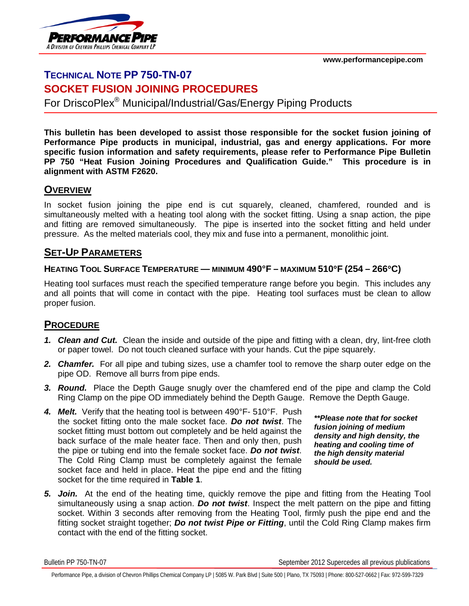**www.performancepipe.com**



# **TECHNICAL NOTE PP 750-TN-07 SOCKET FUSION JOINING PROCEDURES**

For DriscoPlex® Municipal/Industrial/Gas/Energy Piping Products

**This bulletin has been developed to assist those responsible for the socket fusion joining of Performance Pipe products in municipal, industrial, gas and energy applications. For more specific fusion information and safety requirements, please refer to Performance Pipe Bulletin PP 750 "Heat Fusion Joining Procedures and Qualification Guide." This procedure is in alignment with ASTM F2620.**

### **OVERVIEW**

In socket fusion joining the pipe end is cut squarely, cleaned, chamfered, rounded and is simultaneously melted with a heating tool along with the socket fitting. Using a snap action, the pipe and fitting are removed simultaneously. The pipe is inserted into the socket fitting and held under pressure. As the melted materials cool, they mix and fuse into a permanent, monolithic joint.

## **SET-UP PARAMETERS**

### **HEATING TOOL SURFACE TEMPERATURE — MINIMUM 490°F – MAXIMUM 510**°**F (254 – 266**°**C)**

Heating tool surfaces must reach the specified temperature range before you begin. This includes any and all points that will come in contact with the pipe. Heating tool surfaces must be clean to allow proper fusion.

# **PROCEDURE**

- *1. Clean and Cut.* Clean the inside and outside of the pipe and fitting with a clean, dry, lint-free cloth or paper towel. Do not touch cleaned surface with your hands. Cut the pipe squarely.
- *2. Chamfer.* For all pipe and tubing sizes, use a chamfer tool to remove the sharp outer edge on the pipe OD. Remove all burrs from pipe ends.
- *3. Round.* Place the Depth Gauge snugly over the chamfered end of the pipe and clamp the Cold Ring Clamp on the pipe OD immediately behind the Depth Gauge. Remove the Depth Gauge.
- *4. Melt.* Verify that the heating tool is between 490°F- 510°F. Push the socket fitting onto the male socket face. *Do not twist*. The socket fitting must bottom out completely and be held against the back surface of the male heater face. Then and only then, push the pipe or tubing end into the female socket face. *Do not twist*. The Cold Ring Clamp must be completely against the female socket face and held in place. Heat the pipe end and the fitting socket for the time required in **Table 1**.

*\*\*Please note that for socket fusion joining of medium density and high density, the heating and cooling time of the high density material should be used.*

*5. Join.* At the end of the heating time, quickly remove the pipe and fitting from the Heating Tool simultaneously using a snap action. *Do not twist*. Inspect the melt pattern on the pipe and fitting socket. Within 3 seconds after removing from the Heating Tool, firmly push the pipe end and the fitting socket straight together; *Do not twist Pipe or Fitting*, until the Cold Ring Clamp makes firm contact with the end of the fitting socket.

Bulletin PP 750-TN-07 September 2012 Supercedes all previous plublications